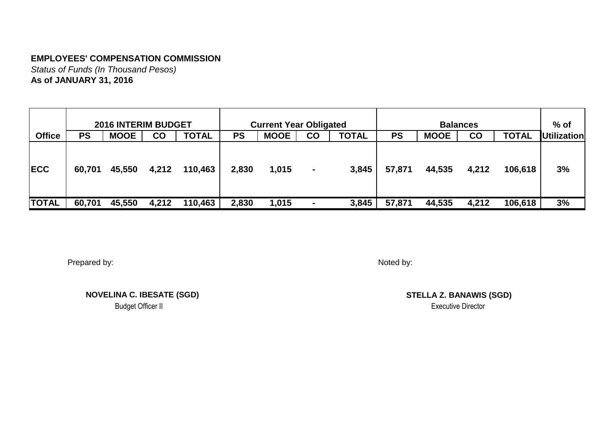*Status of Funds (In Thousand Pesos)* **As of JANUARY 31, 2016**

|               |           | <b>2016 INTERIM BUDGET</b> |           |              |       | <b>Current Year Obligated</b> |                |              |           |             | <b>Balances</b> |              | $%$ of             |
|---------------|-----------|----------------------------|-----------|--------------|-------|-------------------------------|----------------|--------------|-----------|-------------|-----------------|--------------|--------------------|
| <b>Office</b> | <b>PS</b> | <b>MOOE</b>                | <b>CO</b> | <b>TOTAL</b> | PS    | <b>MOOE</b>                   | $\mathbf{CO}$  | <b>TOTAL</b> | <b>PS</b> | <b>MOOE</b> | <b>CO</b>       | <b>TOTAL</b> | <b>Utilization</b> |
| <b>IECC</b>   | 60,701    | 45,550                     | 4,212     | 110,463      | 2,830 | 1,015                         | $\blacksquare$ | 3,845        | 57,871    | 44,535      | 4,212           | 106,618      | 3%                 |
| <b>TOTAL</b>  | 60,701    | 45,550                     | 4,212     | 110,463      | 2,830 | 1,015                         | $\blacksquare$ | 3,845        | 57,871    | 44,535      | 4,212           | 106,618      | 3%                 |

Prepared by:

Noted by:

**NOVELINA C. IBESATE (SGD)**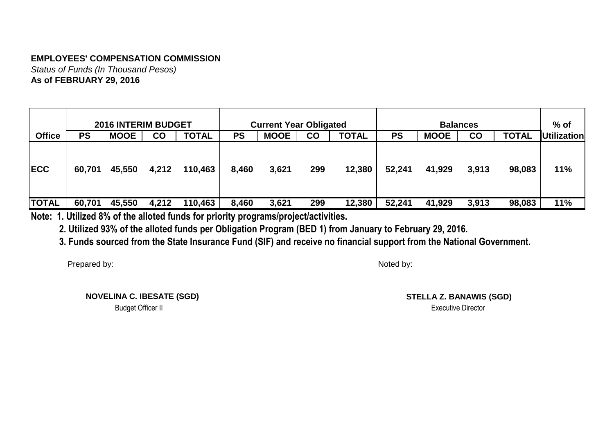*Status of Funds (In Thousand Pesos)* **As of FEBRUARY 29, 2016**

|               |           | <b>2016 INTERIM BUDGET</b> |       |              |           | <b>Current Year Obligated</b> |               |              |           | <b>Balances</b> |           |              | $%$ of             |
|---------------|-----------|----------------------------|-------|--------------|-----------|-------------------------------|---------------|--------------|-----------|-----------------|-----------|--------------|--------------------|
| <b>Office</b> | <b>PS</b> | <b>MOOE</b>                | CO    | <b>TOTAL</b> | <b>PS</b> | <b>MOOE</b>                   | $\mathbf{CO}$ | <b>TOTAL</b> | <b>PS</b> | <b>MOOE</b>     | <b>CO</b> | <b>TOTAL</b> | <b>Utilization</b> |
| <b>IECC</b>   | 60,701    | 45,550                     | 4,212 | 110,463      | 8,460     | 3,621                         | 299           | 12,380       | 52,241    | 41,929          | 3,913     | 98,083       | 11%                |
| <b>TOTAL</b>  | 60,701    | 45,550                     | 4,212 | 110,463      | 8,460     | 3,621                         | 299           | 12,380       | 52,241    | 41,929          | 3,913     | 98,083       | 11%                |

**Note: 1. Utilized 8% of the alloted funds for priority programs/project/activities.**

 **2. Utilized 93% of the alloted funds per Obligation Program (BED 1) from January to February 29, 2016.**

 **3. Funds sourced from the State Insurance Fund (SIF) and receive no financial support from the National Government.**

Prepared by:

Noted by:

 **NOVELINA C. IBESATE (SGD)** Budget Officer II Executive Director

**STELLA Z. BANAWIS (SGD)**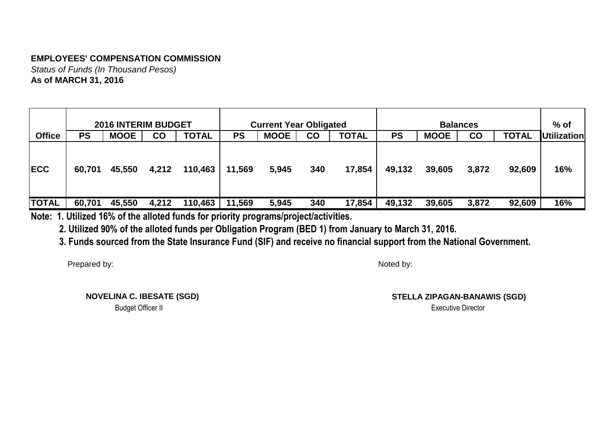*Status of Funds (In Thousand Pesos)* **As of MARCH 31, 2016**

|               |           | <b>2016 INTERIM BUDGET</b> |           |              |           | <b>Current Year Obligated</b> |               |              |           |             | <b>Balances</b> |              | $%$ of             |
|---------------|-----------|----------------------------|-----------|--------------|-----------|-------------------------------|---------------|--------------|-----------|-------------|-----------------|--------------|--------------------|
| <b>Office</b> | <b>PS</b> | <b>MOOE</b>                | <b>CO</b> | <b>TOTAL</b> | <b>PS</b> | <b>MOOE</b>                   | $\mathbf{CO}$ | <b>TOTAL</b> | <b>PS</b> | <b>MOOE</b> | $\mathsf{CO}$   | <b>TOTAL</b> | <b>Utilization</b> |
| <b>IECC</b>   | 60,701    | 45,550                     | 4,212     | 110,463      | 11,569    | 5,945                         | 340           | 17,854       | 49,132    | 39,605      | 3,872           | 92,609       | 16%                |
| <b>TOTAL</b>  | 60,701    | 45,550                     | 4,212     | 110,463      | 11,569    | 5,945                         | 340           | 17,854       | 49,132    | 39,605      | 3,872           | 92,609       | 16%                |

**Note: 1. Utilized 16% of the alloted funds for priority programs/project/activities.**

 **2. Utilized 90% of the alloted funds per Obligation Program (BED 1) from January to March 31, 2016.**

 **3. Funds sourced from the State Insurance Fund (SIF) and receive no financial support from the National Government.**

Prepared by:

Noted by:

**NOVELINA C. IBESATE (SGD)**

Budget Officer II Executive Director **STELLA ZIPAGAN-BANAWIS (SGD)**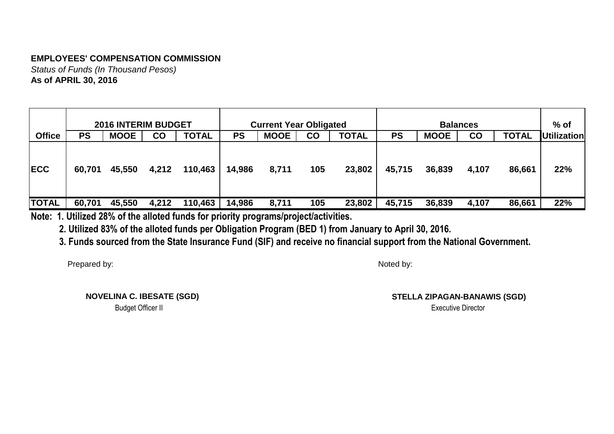*Status of Funds (In Thousand Pesos)* **As of APRIL 30, 2016**

|               |           | <b>2016 INTERIM BUDGET</b> |           |              |           | <b>Current Year Obligated</b> |               |              |           |             | <b>Balances</b> |              | $%$ of             |
|---------------|-----------|----------------------------|-----------|--------------|-----------|-------------------------------|---------------|--------------|-----------|-------------|-----------------|--------------|--------------------|
| <b>Office</b> | <b>PS</b> | <b>MOOE</b>                | <b>CO</b> | <b>TOTAL</b> | <b>PS</b> | <b>MOOE</b>                   | $\mathbf{CO}$ | <b>TOTAL</b> | <b>PS</b> | <b>MOOE</b> | $\mathsf{CO}$   | <b>TOTAL</b> | <b>Utilization</b> |
| <b>IECC</b>   | 60,701    | 45,550                     | 4,212     | 110,463      | 14,986    | 8,711                         | 105           | 23,802       | 45,715    | 36,839      | 4,107           | 86,661       | 22%                |
| <b>TOTAL</b>  | 60,701    | 45,550                     | 4,212     | 110,463      | 14,986    | 8,711                         | 105           | 23,802       | 45,715    | 36,839      | 4,107           | 86,661       | 22%                |

**Note: 1. Utilized 28% of the alloted funds for priority programs/project/activities.**

 **2. Utilized 83% of the alloted funds per Obligation Program (BED 1) from January to April 30, 2016.**

 **3. Funds sourced from the State Insurance Fund (SIF) and receive no financial support from the National Government.**

Prepared by:

Noted by:

**NOVELINA C. IBESATE (SGD)**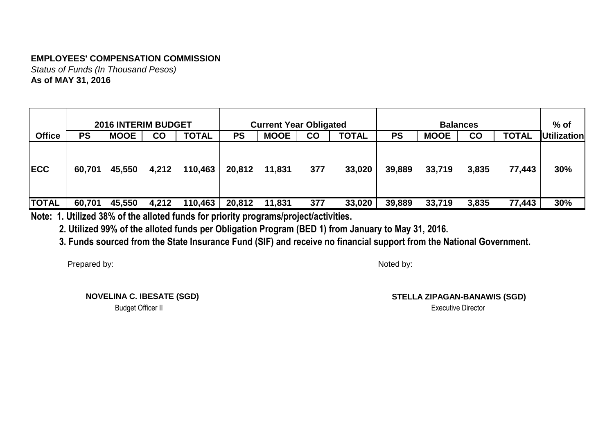*Status of Funds (In Thousand Pesos)* **As of MAY 31, 2016**

|               |           | <b>2016 INTERIM BUDGET</b> |       |              |           | <b>Current Year Obligated</b> |           |              |           |             | <b>Balances</b> |             | $%$ of |
|---------------|-----------|----------------------------|-------|--------------|-----------|-------------------------------|-----------|--------------|-----------|-------------|-----------------|-------------|--------|
| <b>Office</b> | <b>PS</b> | <b>MOOE</b>                | CO    | <b>TOTAL</b> | <b>PS</b> | <b>MOOE</b>                   | <b>CO</b> | <b>TOTAL</b> | <b>PS</b> | <b>MOOE</b> | <b>CO</b>       | Utilization |        |
| <b>IECC</b>   | 60,701    | 45,550                     | 4,212 | 110,463      | 20,812    | 11,831                        | 377       | 33,020       | 39,889    | 33,719      | 3,835           | 77,443      | 30%    |
| <b>TOTAL</b>  | 60,701    | 45,550                     | 4,212 | 110,463      | 20,812    | 11,831                        | 377       | 33,020       | 39,889    | 33,719      | 3,835           | 77,443      | 30%    |

**Note: 1. Utilized 38% of the alloted funds for priority programs/project/activities.**

 **2. Utilized 99% of the alloted funds per Obligation Program (BED 1) from January to May 31, 2016.**

 **3. Funds sourced from the State Insurance Fund (SIF) and receive no financial support from the National Government.**

Prepared by:

Noted by:

**NOVELINA C. IBESATE (SGD)**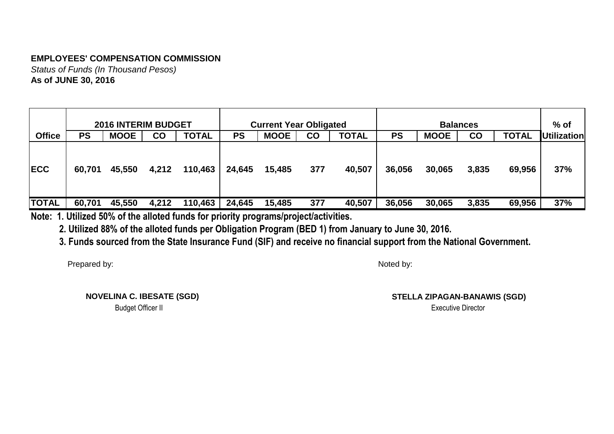*Status of Funds (In Thousand Pesos)* **As of JUNE 30, 2016**

|               |           | <b>2016 INTERIM BUDGET</b> |       |              |           | <b>Current Year Obligated</b> |     |              |           |             | <b>Balances</b> |                                    | $%$ of |  |  |
|---------------|-----------|----------------------------|-------|--------------|-----------|-------------------------------|-----|--------------|-----------|-------------|-----------------|------------------------------------|--------|--|--|
| <b>Office</b> | <b>PS</b> | <b>MOOE</b>                | CO    | <b>TOTAL</b> | <b>PS</b> | <b>MOOE</b>                   | CO  | <b>TOTAL</b> | <b>PS</b> | <b>MOOE</b> | <b>CO</b>       | <b>TOTAL</b><br><b>Utilization</b> |        |  |  |
| <b>IECC</b>   | 60,701    | 45,550                     | 4,212 | 110,463      | 24,645    | 15,485                        | 377 | 40,507       | 36,056    | 30,065      | 3,835           | 69,956                             | 37%    |  |  |
| <b>TOTAL</b>  | 60,701    | 45,550                     | 4,212 | 110,463      | 24,645    | 15,485                        | 377 | 40,507       | 36,056    | 30,065      | 3,835           | 69,956                             | 37%    |  |  |

**Note: 1. Utilized 50% of the alloted funds for priority programs/project/activities.**

 **2. Utilized 88% of the alloted funds per Obligation Program (BED 1) from January to June 30, 2016.**

 **3. Funds sourced from the State Insurance Fund (SIF) and receive no financial support from the National Government.**

Prepared by:

Noted by:

**NOVELINA C. IBESATE (SGD)**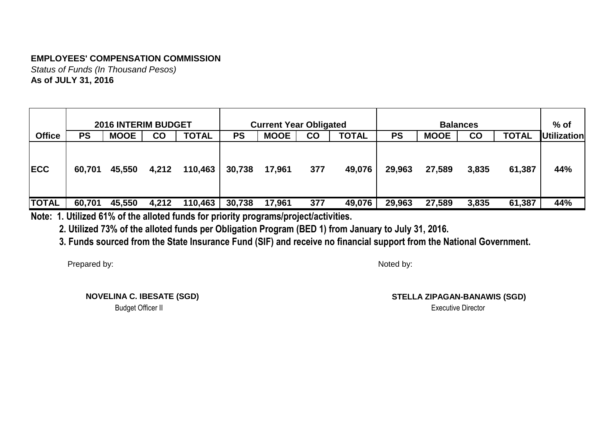*Status of Funds (In Thousand Pesos)* **As of JULY 31, 2016**

|               |           | <b>2016 INTERIM BUDGET</b> |           |              |           | <b>Current Year Obligated</b> |               |              |           |             | <b>Balances</b> |              | $%$ of      |
|---------------|-----------|----------------------------|-----------|--------------|-----------|-------------------------------|---------------|--------------|-----------|-------------|-----------------|--------------|-------------|
| <b>Office</b> | <b>PS</b> | <b>MOOE</b>                | <b>CO</b> | <b>TOTAL</b> | <b>PS</b> | <b>MOOE</b>                   | $\mathbf{CO}$ | <b>TOTAL</b> | <b>PS</b> | <b>MOOE</b> | <b>CO</b>       | <b>TOTAL</b> | Utilization |
| <b>IECC</b>   | 60,701    | 45,550                     | 4,212     | 110,463      | 30,738    | 17,961                        | 377           | 49,076       | 29,963    | 27,589      | 3,835           | 61,387       | 44%         |
| <b>TOTAL</b>  | 60,701    | 45,550                     | 4,212     | 110,463      | 30,738    | 17,961                        | 377           | 49,076       | 29,963    | 27,589      | 3,835           | 61,387       | 44%         |

**Note: 1. Utilized 61% of the alloted funds for priority programs/project/activities.**

 **2. Utilized 73% of the alloted funds per Obligation Program (BED 1) from January to July 31, 2016.**

 **3. Funds sourced from the State Insurance Fund (SIF) and receive no financial support from the National Government.**

Prepared by:

Noted by:

**NOVELINA C. IBESATE (SGD)**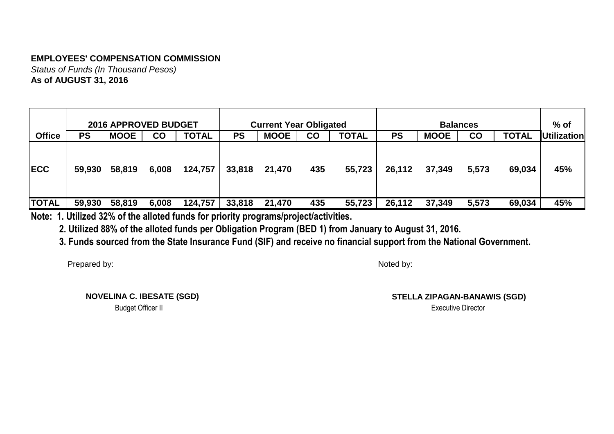*Status of Funds (In Thousand Pesos)* **As of AUGUST 31, 2016**

|               |           | <b>2016 APPROVED BUDGET</b> |       |              |           | <b>Current Year Obligated</b> |           |              |           |                                                                | <b>Balances</b> |        | $%$ of |  |
|---------------|-----------|-----------------------------|-------|--------------|-----------|-------------------------------|-----------|--------------|-----------|----------------------------------------------------------------|-----------------|--------|--------|--|
| <b>Office</b> | <b>PS</b> | <b>MOOE</b>                 | CO    | <b>TOTAL</b> | <b>PS</b> | <b>MOOE</b>                   | <b>CO</b> | <b>TOTAL</b> | <b>PS</b> | <b>TOTAL</b><br><b>Utilization</b><br><b>MOOE</b><br><b>CO</b> |                 |        |        |  |
| <b>IECC</b>   | 59,930    | 58,819                      | 6,008 | 124,757      | 33,818    | 21,470                        | 435       | 55,723       | 26,112    | 37,349                                                         | 5,573           | 69,034 | 45%    |  |
| <b>TOTAL</b>  | 59,930    | 58,819                      | 6,008 | 124,757      | 33,818    | 21,470                        | 435       | 55,723       | 26,112    | 37,349                                                         | 5,573           | 69,034 | 45%    |  |

**Note: 1. Utilized 32% of the alloted funds for priority programs/project/activities.**

 **2. Utilized 88% of the alloted funds per Obligation Program (BED 1) from January to August 31, 2016.**

 **3. Funds sourced from the State Insurance Fund (SIF) and receive no financial support from the National Government.**

Prepared by:

Noted by:

**NOVELINA C. IBESATE (SGD)**

Budget Officer II Executive Director **STELLA ZIPAGAN-BANAWIS (SGD)**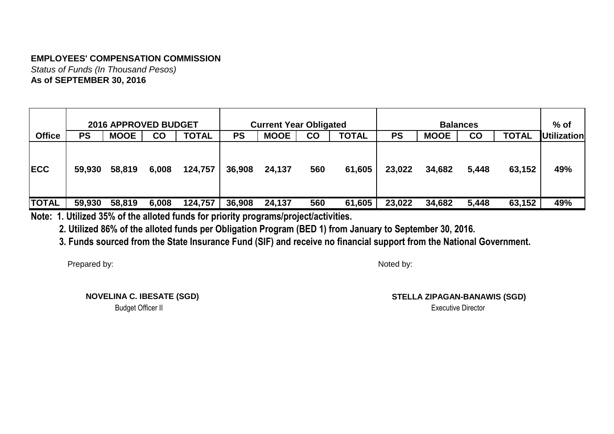*Status of Funds (In Thousand Pesos)* **As of SEPTEMBER 30, 2016**

|               |           | <b>2016 APPROVED BUDGET</b> |       |              |           | <b>Current Year Obligated</b> |           |              |           |             | <b>Balances</b> |                    | $%$ of |
|---------------|-----------|-----------------------------|-------|--------------|-----------|-------------------------------|-----------|--------------|-----------|-------------|-----------------|--------------------|--------|
| <b>Office</b> | <b>PS</b> | <b>MOOE</b>                 | CO    | <b>TOTAL</b> | <b>PS</b> | <b>MOOE</b>                   | <b>CO</b> | <b>TOTAL</b> | <b>PS</b> | <b>MOOE</b> | <b>CO</b>       | <b>Utilization</b> |        |
| <b>IECC</b>   | 59,930    | 58,819                      | 6,008 | 124,757      | 36,908    | 24,137                        | 560       | 61,605       | 23,022    | 34,682      | 5,448           | 63,152             | 49%    |
| <b>TOTAL</b>  | 59,930    | 58,819                      | 6,008 | 124,757      | 36,908    | 24,137                        | 560       | 61,605       | 23,022    | 34,682      | 5,448           | 63,152             | 49%    |

**Note: 1. Utilized 35% of the alloted funds for priority programs/project/activities.**

 **2. Utilized 86% of the alloted funds per Obligation Program (BED 1) from January to September 30, 2016.**

 **3. Funds sourced from the State Insurance Fund (SIF) and receive no financial support from the National Government.**

Prepared by:

Noted by:

**NOVELINA C. IBESATE (SGD)**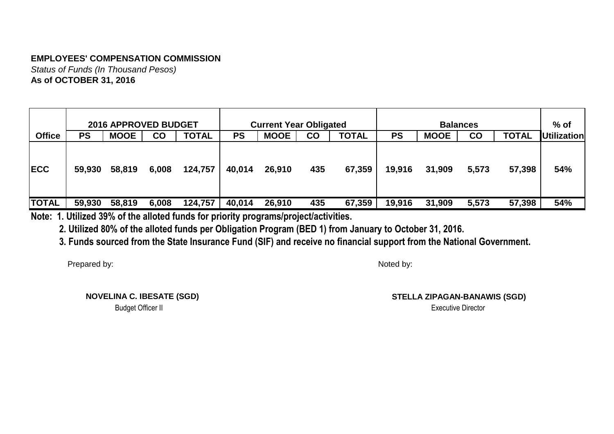*Status of Funds (In Thousand Pesos)* **As of OCTOBER 31, 2016**

|               |           | <b>2016 APPROVED BUDGET</b> |       |              |           | <b>Current Year Obligated</b> |           |              |           |             | <b>Balances</b>                                 |        | $%$ of |  |
|---------------|-----------|-----------------------------|-------|--------------|-----------|-------------------------------|-----------|--------------|-----------|-------------|-------------------------------------------------|--------|--------|--|
| <b>Office</b> | <b>PS</b> | <b>MOOE</b>                 | CO    | <b>TOTAL</b> | <b>PS</b> | <b>MOOE</b>                   | <b>CO</b> | <b>TOTAL</b> | <b>PS</b> | <b>MOOE</b> | <b>TOTAL</b><br><b>Utilization</b><br><b>CO</b> |        |        |  |
| <b>IECC</b>   | 59,930    | 58,819                      | 6,008 | 124,757      | 40,014    | 26,910                        | 435       | 67,359       | 19,916    | 31,909      | 5,573                                           | 57,398 | 54%    |  |
| <b>TOTAL</b>  | 59,930    | 58,819                      | 6,008 | 124,757      | 40,014    | 26,910                        | 435       | 67,359       | 19,916    | 31,909      | 5,573                                           | 57,398 | 54%    |  |

**Note: 1. Utilized 39% of the alloted funds for priority programs/project/activities.**

 **2. Utilized 80% of the alloted funds per Obligation Program (BED 1) from January to October 31, 2016.**

 **3. Funds sourced from the State Insurance Fund (SIF) and receive no financial support from the National Government.**

Prepared by:

Noted by:

**NOVELINA C. IBESATE (SGD)**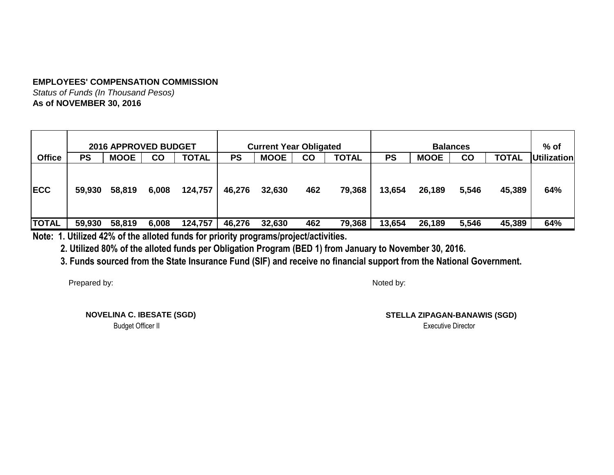*Status of Funds (In Thousand Pesos)* **As of NOVEMBER 30, 2016**

|               |           | <b>2016 APPROVED BUDGET</b> |       |              |           | <b>Current Year Obligated</b> |     |              |           |             | <b>Balances</b> |              | $%$ of             |
|---------------|-----------|-----------------------------|-------|--------------|-----------|-------------------------------|-----|--------------|-----------|-------------|-----------------|--------------|--------------------|
| <b>Office</b> | <b>PS</b> | <b>MOOE</b>                 | CO    | <b>TOTAL</b> | <b>PS</b> | <b>MOOE</b>                   | CO  | <b>TOTAL</b> | <b>PS</b> | <b>MOOE</b> | CO              | <b>TOTAL</b> | <b>Utilization</b> |
| <b>IECC</b>   | 59,930    | 58,819                      | 6,008 | 124,757      | 46,276    | 32,630                        | 462 | 79,368       | 13,654    | 26,189      | 5,546           | 45,389       | 64%                |
| <b>TOTAL</b>  | 59,930    | 58,819                      | 6,008 | 124,757      | 46,276    | 32,630                        | 462 | 79,368       | 13,654    | 26,189      | 5,546           | 45,389       | 64%                |

**Note: 1. Utilized 42% of the alloted funds for priority programs/project/activities.**

 **2. Utilized 80% of the alloted funds per Obligation Program (BED 1) from January to November 30, 2016.**

 **3. Funds sourced from the State Insurance Fund (SIF) and receive no financial support from the National Government.**

Prepared by:

Noted by:

**NOVELINA C. IBESATE (SGD)**

**STELLA ZIPAGAN-BANAWIS (SGD)**

Budget Officer II Executive Director